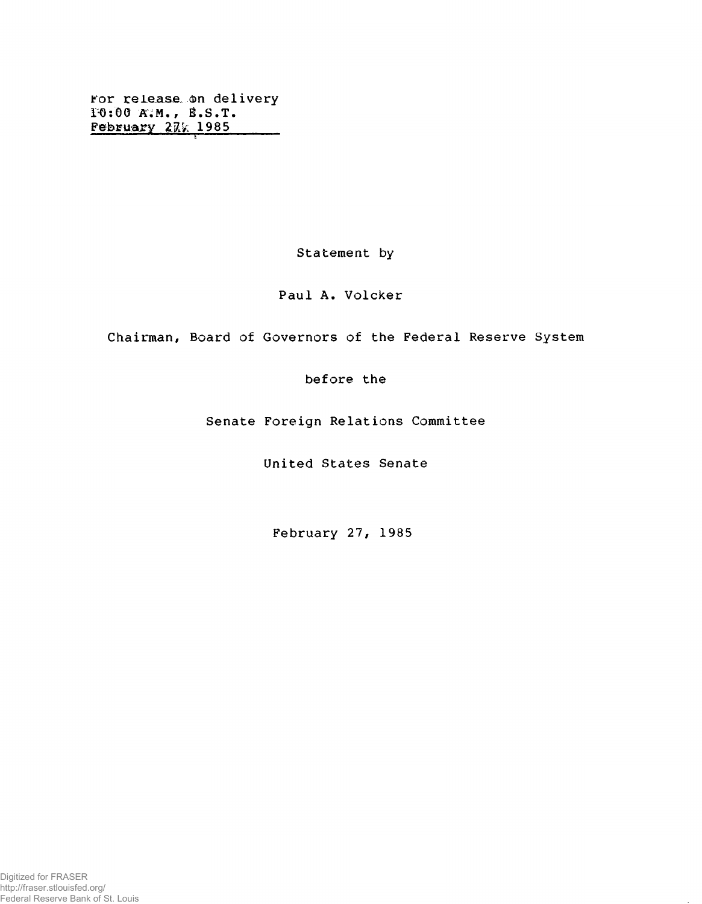for release, ©n delivery 1-6:00 A;M. , B.S.T. February 27% 1985

Statement by

Paul A. Volcker

Chairman, Board of Governors of the Federal Reserve System

before the

Senate Foreign Relations Committee

United States Senate

February 27, 1985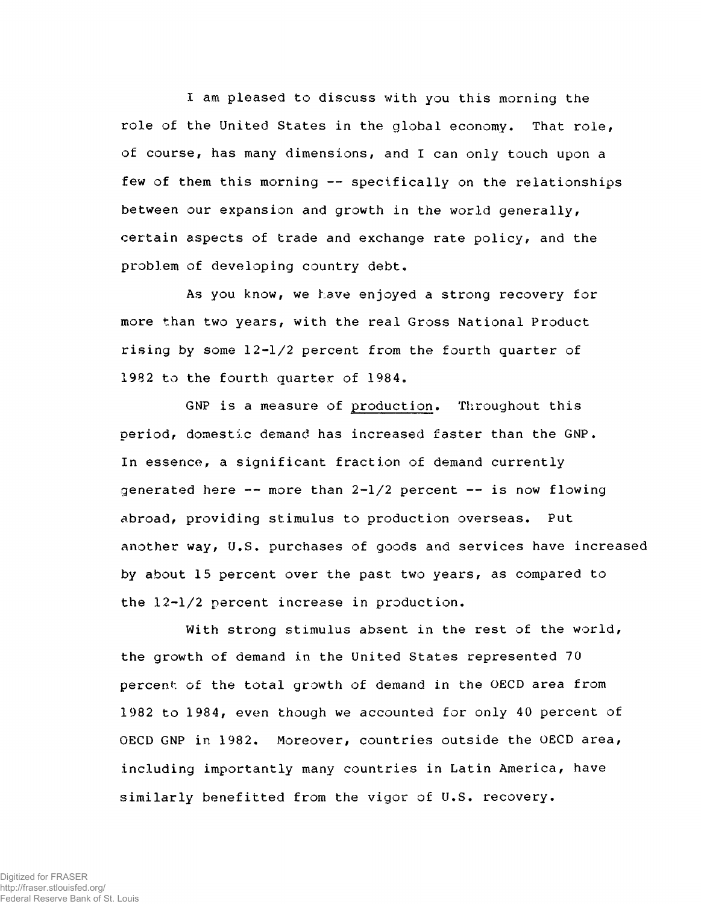I am pleased to discuss with you this morning the role of the United States in the global economy. That role, of course, has many dimensions, and I can only touch upon a few of them this morning -- specifically on the relationships between our expansion and growth in the world generally, certain aspects of trade and exchange rate policy, and the problem of developing country debt.

As you know, we have enjoyed a strong recovery for more than two years, with the real Gross National Product rising by some 12-1/2 percent from the fourth quarter of 1982 to the fourth quarter of 1984,

GNP is a measure of production. Throughout this period, domestic demand has increased faster than the GNP, In essence, a significant fraction of demand currently generated here  $--$  more than  $2-1/2$  percent  $--$  is now flowing abroad, providing stimulus to production overseas. Put another way, U.S. purchases of goods and services have increased by about 15 percent over the past two years, as compared to the 12-1/2 percent increase in production.

With strong stimulus absent in the rest of the world, the growth of demand in the United States represented 70 percent of the total growth of demand in the OECD area from 1982 to 1984, even though we accounted for only 40 percent of OECD GNP in 1982. Moreover, countries outside the OECD area, including importantly many countries in Latin America, have similarly benefitted from the vigor of U.S. recovery.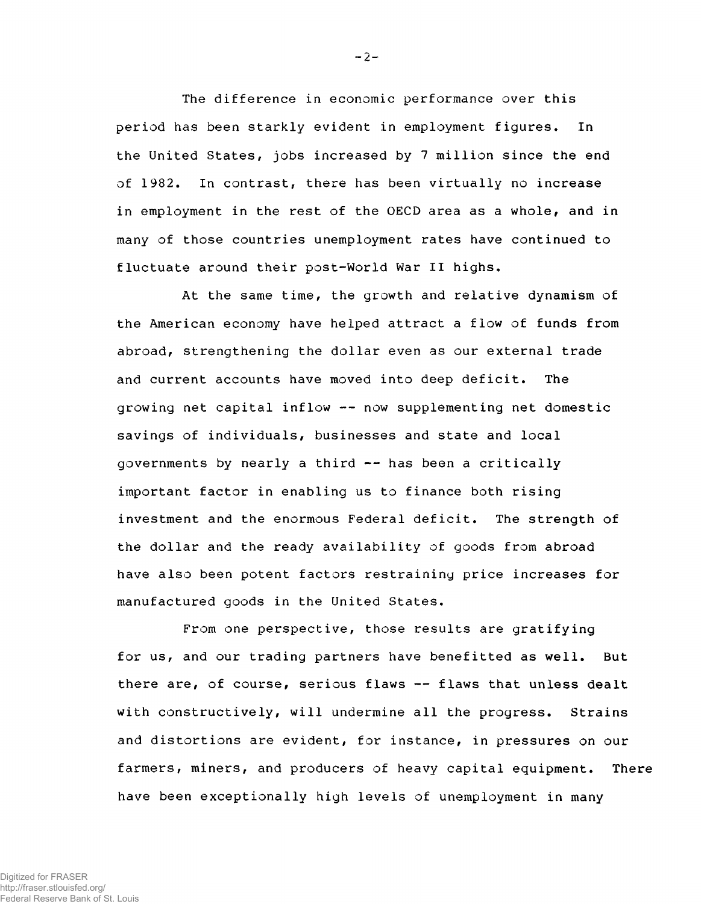The difference in economic performance over this period has been starkly evident in employment figures. In the United States, jobs increased by 7 million since the end of 1982, In contrast, there has been virtually no increase in employment in the rest of the OECD area as a whole, and in many of those countries unemployment rates have continued to fluctuate around their post-World War II highs.

At the same time, the growth and relative dynamism of the American economy have helped attract a flow of funds from abroad, strengthening the dollar even as our external trade and current accounts have moved into deep deficit. The growing net capital inflow -- now supplementing net domestic savings of individuals, businesses and state and local governments by nearly a third -- has been a critically important factor in enabling us to finance both rising investment and the enormous Federal deficit. The strength of the dollar and the ready availability of goods from abroad have also been potent factors restraining price increases for manufactured goods in the United States.

From one perspective, those results are gratifying for us, and our trading partners have benefitted as well. But there are, of course, serious flaws -- flaws that unless dealt with constructively, will undermine all the progress. Strains and distortions are evident, for instance, in pressures on our farmers, miners, and producers of heavy capital equipment. There have been exceptionally high levels of unemployment in many

Digitized for FRASER http://fraser.stlouisfed.org/ Federal Reserve Bank of St. Louis  $-2-$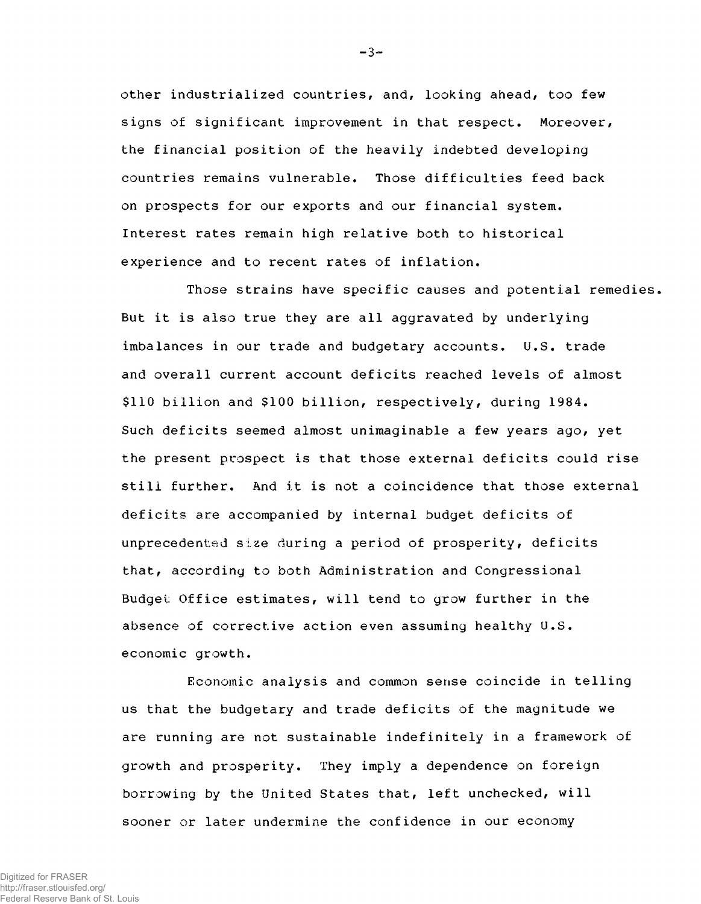other industrialized countries, and, looking ahead, too few signs of significant improvement in that respect. Moreover, the financial position of the heavily indebted developing countries remains vulnerable. Those difficulties feed back on prospects for our exports and our financial system. Interest rates remain high relative both to historical experience and to recent rates of inflation.

Those strains have specific causes and potential remedies, But it is also true they are all aggravated by underlying imbalances in our trade and budgetary accounts. U.S. trade and overall current account deficits reached levels of almost \$110 billion and \$100 billion, respectively, during 1984. Such deficits seemed almost unimaginable a few years ago, yet the present prospect is that those external deficits could rise still further. And it is not a coincidence that those external deficits are accompanied by internal budget deficits of unprecedented size during a period of prosperity, deficits that, according to both Administration and Congressional Budget Office estimates, will tend to grow further in the absence of corrective action even assuming healthy U.S. economic growth.

Economic analysis and common sense coincide in telling us that the budgetary and trade deficits of the magnitude we are running are not sustainable indefinitely in a framework of growth and prosperity. They imply a dependence on foreign borrowing by the United States that, left unchecked, will sooner or later undermine the confidence in our economy

http://fraser.stlouisfed.org/ Federal Reserve Bank of St. Louis  $-3-$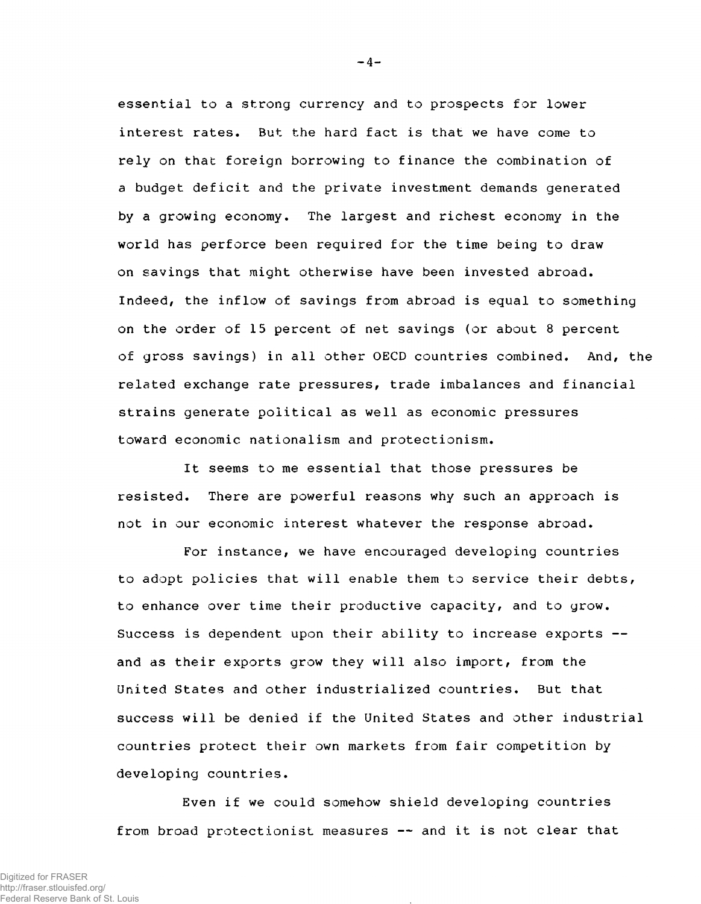essential to a strong currency and to prospects for lower interest rates. But the hard fact is that we have come to rely on that foreign borrowing to finance the combination of a budget deficit and the private investment demands generated by a growing economy. The largest and richest economy in the world has perforce been required for the time being to draw on savings that might otherwise have been invested abroad. Indeed, the inflow of savings from abroad is equal to something on the order of 15 percent of net savings (or about 8 percent of gross savings) in all other OECD countries combined. And, the related exchange rate pressures, trade imbalances and financial strains generate political as well as economic pressures toward economic nationalism and protectionism.

It seems to me essential that those pressures be resisted. There are powerful reasons why such an approach is not in our economic interest whatever the response abroad.

For instance, we have encouraged developing countries to adopt policies that will enable them to service their debts, to enhance over time their productive capacity, and to grow. Success is dependent upon their ability to increase exports and as their exports grow they will also import, from the United States and other industrialized countries. But that success will be denied if the United States and other industrial countries protect their own markets from fair competition by developing countries.

Even if we could somehow shield developing countries from broad protectionist measures — and it is not clear that

 $-4-$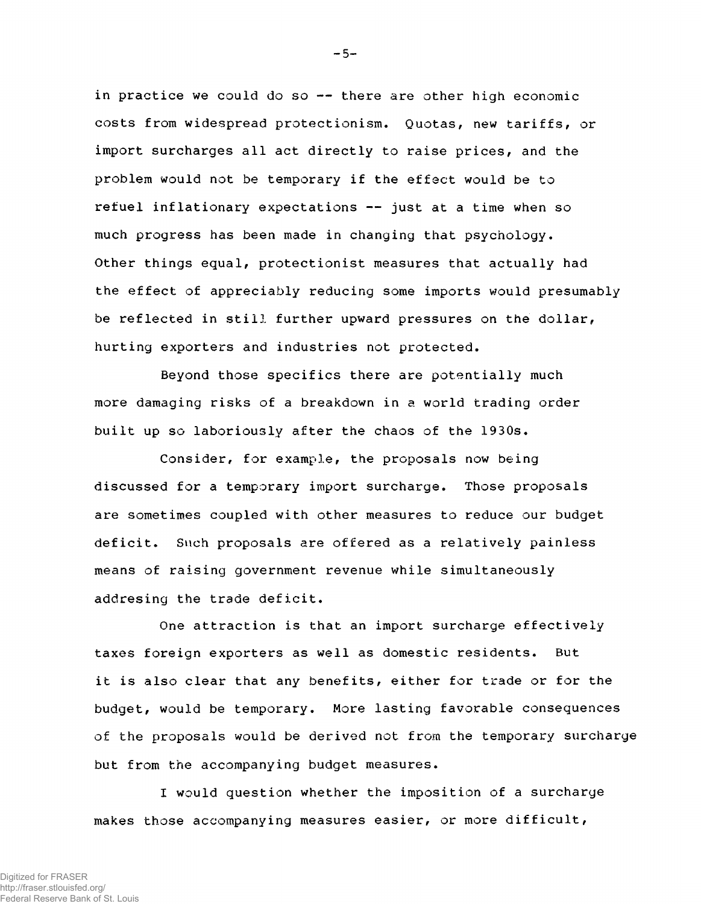in practice we could do so -- there are other high economic costs from widespread protectionism. Quotas, new tariffs, or import surcharges all act directly to raise prices, and the problem would not be temporary if the effect would be to refuel inflationary expectations — just at a time when so much progress has been made in changing that psychology. Other things equal, protectionist measures that actually had the effect of appreciably reducing some imports would presumably be reflected in still further upward pressures on the dollar, hurting exporters and industries not protected.

Beyond those specifics there are potentially much more damaging risks of a breakdown in a world trading order built up so laboriously after the chaos of the 1930s.

Consider, for example, the proposals now being discussed for a temporary import surcharge. Those proposals are sometimes coupled with other measures to reduce our budget deficit. Such proposals are offered as a relatively painless means of raising government revenue while simultaneously addresing the trade deficit.

One attraction is that an import surcharge effectively taxes foreign exporters as well as domestic residents. But it is also clear that any benefits, either for trade or for the budget, would be temporary. More lasting favorable consequences of the proposals would be derived not from the temporary surcharge but from the accompanying budget measures.

I would question whether the imposition of a surcharge makes those accompanying measures easier, or more difficult,

 $-5-$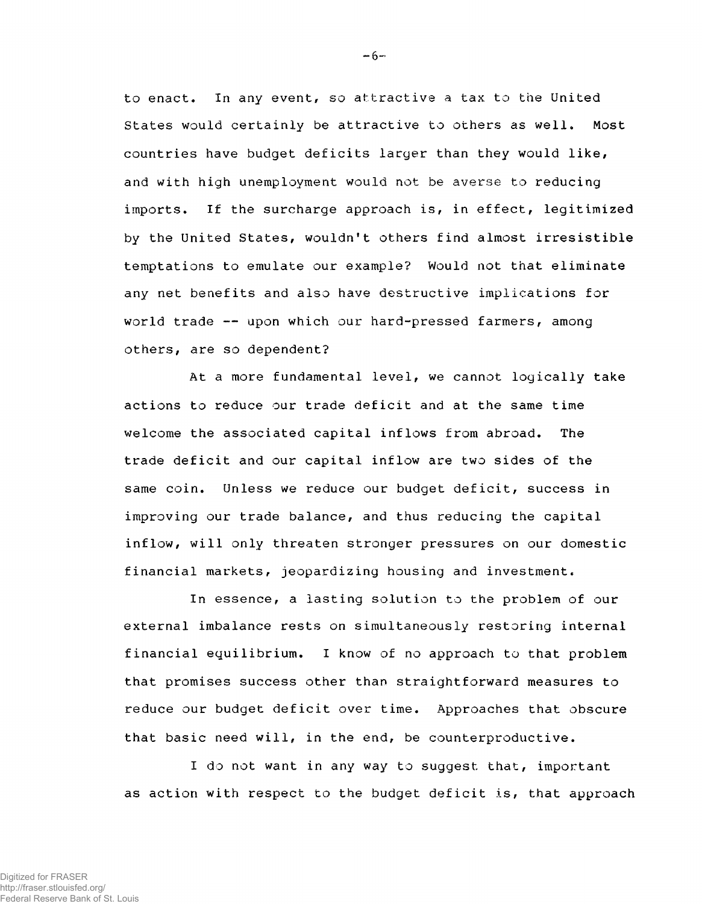to enact. In any event, so attractive a tax to the United States would certainly be attractive to others as well. Most countries have budget deficits larger than they would like, and with high unemployment would not be averse to reducing imports. If the surcharge approach is, in effect, legitimized by the United States, wouldn't others find almost irresistible temptations to emulate our example? Would not that eliminate any net benefits and also have destructive implications for world trade -- upon which our hard-pressed farmers, among others, are so dependent?

At a more fundamental level, we cannot logically take actions to reduce our trade deficit and at the same time welcome the associated capital inflows from abroad. The trade deficit and our capital inflow are two sides of the same coin. Unless we reduce our budget deficit, success in improving our trade balance, and thus reducing the capital inflow, will only threaten stronger pressures on our domestic financial markets, jeopardizing housing and investment.

In essence, a lasting solution to the problem of our external imbalance rests on simultaneously restoring internal financial equilibrium. I know of no approach to that problem that promises success other than straightforward measures to reduce our budget deficit over time. Approaches that obscure that basic need will, in the end, be counterproductive.

I do not want in any way to suggest that, important as action with respect to the budget deficit is, that approach

 $-6-$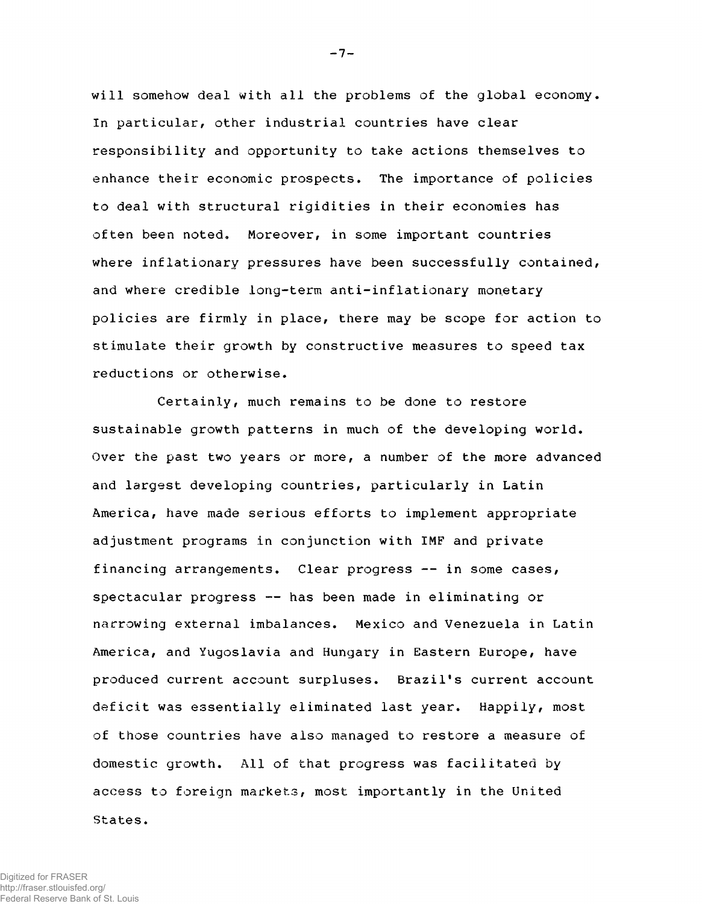will somehow deal with all the problems of the global economy. In particular, other industrial countries have clear responsibility and opportunity to take actions themselves to enhance their economic prospects. The importance of policies to deal with structural rigidities in their economies has often been noted. Moreover, in some important countries where inflationary pressures have been successfully contained, and where credible long-term anti-inflationary monetary policies are firmly in place, there may be scope for action to stimulate their growth by constructive measures to speed tax reductions or otherwise.

Certainly, much remains to be done to restore sustainable growth patterns in much of the developing world. Over the past two years or more, a number of the more advanced and largest developing countries, particularly in Latin America, have made serious efforts to implement appropriate adjustment programs in conjunction with IMF and private financing arrangements. Clear progress -- in some cases, spectacular progress — has been made in eliminating or narrowing external imbalances. Mexico and Venezuela in Latin America, and Yugoslavia and Hungary in Eastern Europe, have produced current account surpluses. Brazil's current account deficit was essentially eliminated last year. Happily, most of those countries have also managed to restore a measure of domestic growth. All of that progress was facilitated by access to foreign markets, most importantly in the United States.

 $-7-$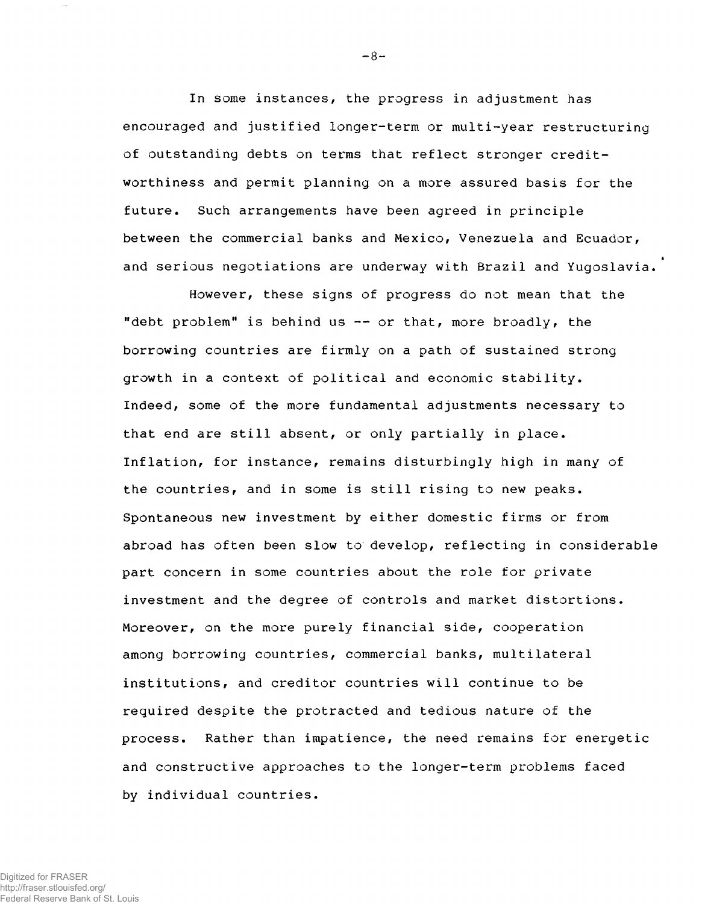In some instances, the progress in adjustment has encouraged and justified longer-term or multi-year restructuring of outstanding debts on terms that reflect stronger creditworthiness and permit planning on a more assured basis for the future. Such arrangements have been agreed in principle between the commercial banks and Mexico, Venezuela and Ecuador, and serious negotiations are underway with Brazil and Yugoslavia.

However, these signs of progress do not mean that the "debt problem" is behind us  $-$  or that, more broadly, the borrowing countries are firmly on a path of sustained strong growth in a context of political and economic stability. Indeed, some of the more fundamental adjustments necessary to that end are still absent, or only partially in place. Inflation, for instance, remains disturbingly high in many of the countries, and in some is still rising to new peaks. Spontaneous new investment by either domestic firms or from abroad has often been slow to develop, reflecting in considerable part concern in some countries about the role for private investment and the degree of controls and market distortions. Moreover, on the more purely financial side, cooperation among borrowing countries, commercial banks, multilateral institutions, and creditor countries will continue to be required despite the protracted and tedious nature of the process. Rather than impatience, the need remains for energetic and constructive approaches to the longer-term problems faced by individual countries.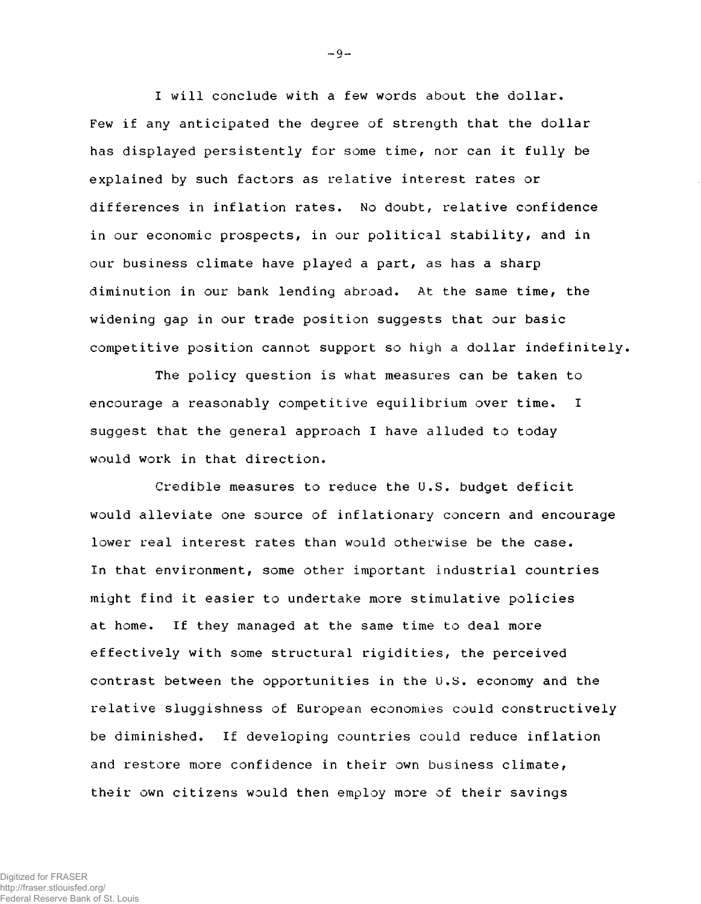I will conclude with a few words about the dollar. Few if any anticipated the degree of strength that the dollar has displayed persistently for some time, nor can it fully be explained by such factors as relative interest rates or differences in inflation rates. No doubt, relative confidence in our economic prospects, in our political stability, and in our business climate have played a part, as has a sharp diminution in our bank lending abroad. At the same time, the widening gap in our trade position suggests that our basic competitive position cannot support so high a dollar indefinitely,

The policy question is what measures can be taken to encourage a reasonably competitive equilibrium over time. I suggest that the general approach I have alluded to today would work in that direction.

Credible measures to reduce the U.S. budget deficit would alleviate one source of inflationary concern and encourage lower real interest rates than would otherwise be the case. In that environment, some other important industrial countries might find it easier to undertake more stimulative policies at home. If they managed at the same time to deal more effectively with some structural rigidities, the perceived contrast between the opportunities in the U.S. economy and the relative sluggishness of European economies could constructively be diminished. If developing countries could reduce inflation and restore more confidence in their own business climate, their own citizens would then employ more of their savings